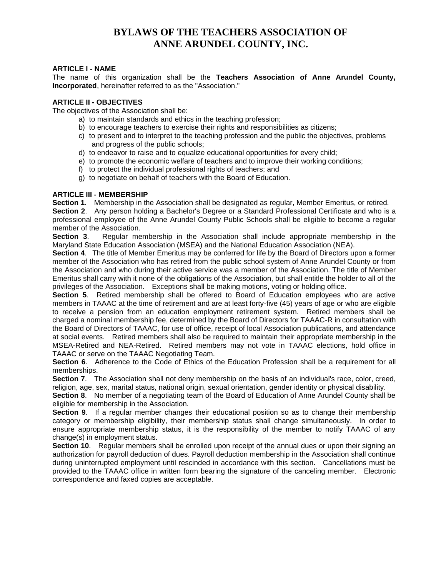# **BYLAWS OF THE TEACHERS ASSOCIATION OF ANNE ARUNDEL COUNTY, INC.**

### **ARTICLE I - NAME**

The name of this organization shall be the **Teachers Association of Anne Arundel County, Incorporated**, hereinafter referred to as the "Association."

#### **ARTICLE II - OBJECTIVES**

The objectives of the Association shall be:

- a) to maintain standards and ethics in the teaching profession;
- b) to encourage teachers to exercise their rights and responsibilities as citizens;
- c) to present and to interpret to the teaching profession and the public the objectives, problems and progress of the public schools;
- d) to endeavor to raise and to equalize educational opportunities for every child;
- e) to promote the economic welfare of teachers and to improve their working conditions;
- f) to protect the individual professional rights of teachers; and
- g) to negotiate on behalf of teachers with the Board of Education.

### **ARTICLE III - MEMBERSHIP**

**Section 1**. Membership in the Association shall be designated as regular, Member Emeritus, or retired.

**Section 2**. Any person holding a Bachelor's Degree or a Standard Professional Certificate and who is a professional employee of the Anne Arundel County Public Schools shall be eligible to become a regular member of the Association.

**Section 3**. Regular membership in the Association shall include appropriate membership in the Maryland State Education Association (MSEA) and the National Education Association (NEA).

**Section 4**. The title of Member Emeritus may be conferred for life by the Board of Directors upon a former member of the Association who has retired from the public school system of Anne Arundel County or from the Association and who during their active service was a member of the Association. The title of Member Emeritus shall carry with it none of the obligations of the Association, but shall entitle the holder to all of the privileges of the Association. Exceptions shall be making motions, voting or holding office.

**Section 5**. Retired membership shall be offered to Board of Education employees who are active members in TAAAC at the time of retirement and are at least forty-five (45) years of age or who are eligible to receive a pension from an education employment retirement system. Retired members shall be charged a nominal membership fee, determined by the Board of Directors for TAAAC-R in consultation with the Board of Directors of TAAAC, for use of office, receipt of local Association publications, and attendance at social events. Retired members shall also be required to maintain their appropriate membership in the MSEA-Retired and NEA-Retired. Retired members may not vote in TAAAC elections, hold office in TAAAC or serve on the TAAAC Negotiating Team.

**Section 6**. Adherence to the Code of Ethics of the Education Profession shall be a requirement for all memberships.

**Section 7**. The Association shall not deny membership on the basis of an individual's race, color, creed, religion, age, sex, marital status, national origin, sexual orientation, gender identity or physical disability.

**Section 8**. No member of a negotiating team of the Board of Education of Anne Arundel County shall be eligible for membership in the Association.

**Section 9.** If a regular member changes their educational position so as to change their membership category or membership eligibility, their membership status shall change simultaneously. In order to ensure appropriate membership status, it is the responsibility of the member to notify TAAAC of any change(s) in employment status.

**Section 10.** Regular members shall be enrolled upon receipt of the annual dues or upon their signing an authorization for payroll deduction of dues. Payroll deduction membership in the Association shall continue during uninterrupted employment until rescinded in accordance with this section. Cancellations must be provided to the TAAAC office in written form bearing the signature of the canceling member. Electronic correspondence and faxed copies are acceptable.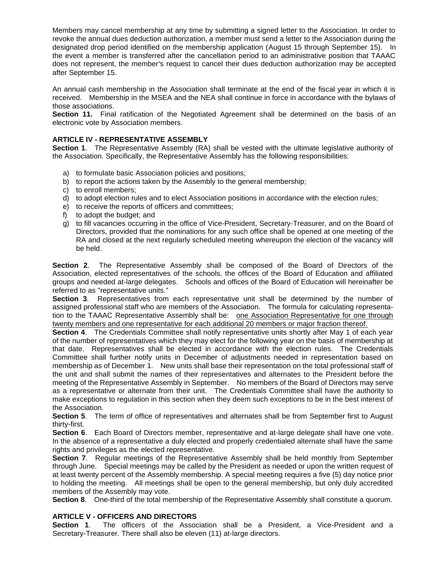Members may cancel membership at any time by submitting a signed letter to the Association. In order to revoke the annual dues deduction authorization, a member must send a letter to the Association during the designated drop period identified on the membership application (August 15 through September 15). In the event a member is transferred after the cancellation period to an administrative position that TAAAC does not represent, the member's request to cancel their dues deduction authorization may be accepted after September 15.

An annual cash membership in the Association shall terminate at the end of the fiscal year in which it is received. Membership in the MSEA and the NEA shall continue in force in accordance with the bylaws of those associations.

**Section 11.** Final ratification of the Negotiated Agreement shall be determined on the basis of an electronic vote by Association members.

### **ARTICLE IV - REPRESENTATIVE ASSEMBLY**

**Section 1**. The Representative Assembly (RA) shall be vested with the ultimate legislative authority of the Association. Specifically, the Representative Assembly has the following responsibilities:

- a) to formulate basic Association policies and positions;
- b) to report the actions taken by the Assembly to the general membership;
- c) to enroll members;
- d) to adopt election rules and to elect Association positions in accordance with the election rules;
- e) to receive the reports of officers and committees;
- f) to adopt the budget; and
- g) to fill vacancies occurring in the office of Vice-President, Secretary-Treasurer, and on the Board of Directors, provided that the nominations for any such office shall be opened at one meeting of the RA and closed at the next regularly scheduled meeting whereupon the election of the vacancy will be held.

**Section 2**. The Representative Assembly shall be composed of the Board of Directors of the Association, elected representatives of the schools, the offices of the Board of Education and affiliated groups and needed at-large delegates. Schools and offices of the Board of Education will hereinafter be referred to as "representative units."

**Section 3**. Representatives from each representative unit shall be determined by the number of assigned professional staff who are members of the Association. The formula for calculating representation to the TAAAC Representative Assembly shall be: one Association Representative for one through twenty members and one representative for each additional 20 members or major fraction thereof.

**Section 4**. The Credentials Committee shall notify representative units shortly after May 1 of each year of the number of representatives which they may elect for the following year on the basis of membership at that date. Representatives shall be elected in accordance with the election rules. The Credentials Committee shall further notify units in December of adjustments needed in representation based on membership as of December 1. New units shall base their representation on the total professional staff of the unit and shall submit the names of their representatives and alternates to the President before the meeting of the Representative Assembly in September. No members of the Board of Directors may serve as a representative or alternate from their unit. The Credentials Committee shall have the authority to make exceptions to regulation in this section when they deem such exceptions to be in the best interest of the Association.

**Section 5**. The term of office of representatives and alternates shall be from September first to August thirty-first.

**Section 6**. Each Board of Directors member, representative and at-large delegate shall have one vote. In the absence of a representative a duly elected and properly credentialed alternate shall have the same rights and privileges as the elected representative.

**Section 7.** Regular meetings of the Representative Assembly shall be held monthly from September through June. Special meetings may be called by the President as needed or upon the written request of at least twenty percent of the Assembly membership. A special meeting requires a five (5) day notice prior to holding the meeting. All meetings shall be open to the general membership, but only duly accredited members of the Assembly may vote.

**Section 8**. One-third of the total membership of the Representative Assembly shall constitute a quorum.

# **ARTICLE V - OFFICERS AND DIRECTORS**

**Section 1**. The officers of the Association shall be a President, a Vice-President and a Secretary-Treasurer. There shall also be eleven (11) at-large directors.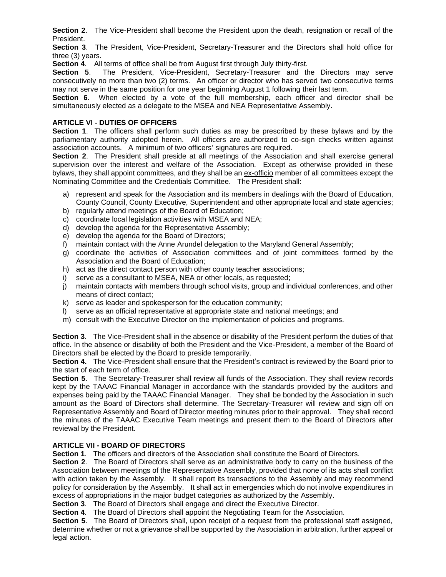**Section 2**. The Vice-President shall become the President upon the death, resignation or recall of the President.

**Section 3**. The President, Vice-President, Secretary-Treasurer and the Directors shall hold office for three (3) years.

**Section 4**. All terms of office shall be from August first through July thirty-first.

**Section 5**. The President, Vice-President, Secretary-Treasurer and the Directors may serve consecutively no more than two (2) terms. An officer or director who has served two consecutive terms may not serve in the same position for one year beginning August 1 following their last term.

**Section 6**. When elected by a vote of the full membership, each officer and director shall be simultaneously elected as a delegate to the MSEA and NEA Representative Assembly.

## **ARTICLE VI - DUTIES OF OFFICERS**

**Section 1**. The officers shall perform such duties as may be prescribed by these bylaws and by the parliamentary authority adopted herein. All officers are authorized to co-sign checks written against association accounts. A minimum of two officers' signatures are required.

**Section 2**. The President shall preside at all meetings of the Association and shall exercise general supervision over the interest and welfare of the Association. Except as otherwise provided in these bylaws, they shall appoint committees, and they shall be an ex-officio member of all committees except the Nominating Committee and the Credentials Committee. The President shall:

- a) represent and speak for the Association and its members in dealings with the Board of Education, County Council, County Executive, Superintendent and other appropriate local and state agencies;
- b) regularly attend meetings of the Board of Education;
- c) coordinate local legislation activities with MSEA and NEA;
- d) develop the agenda for the Representative Assembly;
- e) develop the agenda for the Board of Directors;
- f) maintain contact with the Anne Arundel delegation to the Maryland General Assembly;
- g) coordinate the activities of Association committees and of joint committees formed by the Association and the Board of Education;
- h) act as the direct contact person with other county teacher associations;
- i) serve as a consultant to MSEA, NEA or other locals, as requested;
- j) maintain contacts with members through school visits, group and individual conferences, and other means of direct contact;
- k) serve as leader and spokesperson for the education community;
- l) serve as an official representative at appropriate state and national meetings; and
- m) consult with the Executive Director on the implementation of policies and programs.

**Section 3**. The Vice-President shall in the absence or disability of the President perform the duties of that office. In the absence or disability of both the President and the Vice-President, a member of the Board of Directors shall be elected by the Board to preside temporarily.

**Section 4.** The Vice-President shall ensure that the President's contract is reviewed by the Board prior to the start of each term of office.

**Section 5**. The Secretary-Treasurer shall review all funds of the Association. They shall review records kept by the TAAAC Financial Manager in accordance with the standards provided by the auditors and expenses being paid by the TAAAC Financial Manager. They shall be bonded by the Association in such amount as the Board of Directors shall determine. The Secretary-Treasurer will review and sign off on Representative Assembly and Board of Director meeting minutes prior to their approval. They shall record the minutes of the TAAAC Executive Team meetings and present them to the Board of Directors after reviewal by the President.

# **ARTICLE VII - BOARD OF DIRECTORS**

**Section 1**. The officers and directors of the Association shall constitute the Board of Directors.

**Section 2**. The Board of Directors shall serve as an administrative body to carry on the business of the Association between meetings of the Representative Assembly, provided that none of its acts shall conflict with action taken by the Assembly. It shall report its transactions to the Assembly and may recommend policy for consideration by the Assembly. It shall act in emergencies which do not involve expenditures in excess of appropriations in the major budget categories as authorized by the Assembly.

**Section 3**. The Board of Directors shall engage and direct the Executive Director.

**Section 4**. The Board of Directors shall appoint the Negotiating Team for the Association.

**Section 5**. The Board of Directors shall, upon receipt of a request from the professional staff assigned, determine whether or not a grievance shall be supported by the Association in arbitration, further appeal or legal action.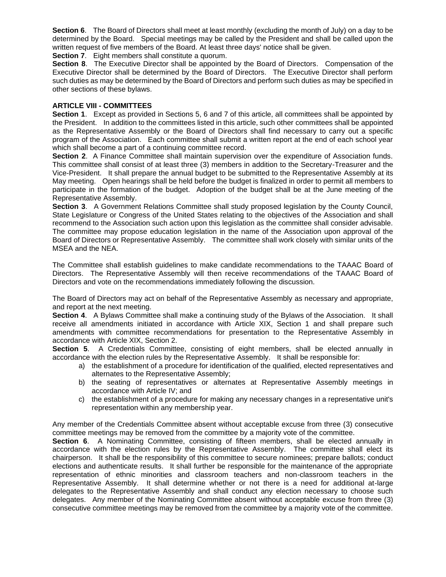**Section 6.** The Board of Directors shall meet at least monthly (excluding the month of July) on a day to be determined by the Board. Special meetings may be called by the President and shall be called upon the written request of five members of the Board. At least three days' notice shall be given.

**Section 7.** Eight members shall constitute a quorum.

**Section 8**. The Executive Director shall be appointed by the Board of Directors. Compensation of the Executive Director shall be determined by the Board of Directors. The Executive Director shall perform such duties as may be determined by the Board of Directors and perform such duties as may be specified in other sections of these bylaws.

#### **ARTICLE VIII - COMMITTEES**

**Section 1**. Except as provided in Sections 5, 6 and 7 of this article, all committees shall be appointed by the President. In addition to the committees listed in this article, such other committees shall be appointed as the Representative Assembly or the Board of Directors shall find necessary to carry out a specific program of the Association. Each committee shall submit a written report at the end of each school year which shall become a part of a continuing committee record.

**Section 2**. A Finance Committee shall maintain supervision over the expenditure of Association funds. This committee shall consist of at least three (3) members in addition to the Secretary-Treasurer and the Vice-President. It shall prepare the annual budget to be submitted to the Representative Assembly at its May meeting. Open hearings shall be held before the budget is finalized in order to permit all members to participate in the formation of the budget. Adoption of the budget shall be at the June meeting of the Representative Assembly.

**Section 3**. A Government Relations Committee shall study proposed legislation by the County Council, State Legislature or Congress of the United States relating to the objectives of the Association and shall recommend to the Association such action upon this legislation as the committee shall consider advisable. The committee may propose education legislation in the name of the Association upon approval of the Board of Directors or Representative Assembly. The committee shall work closely with similar units of the MSEA and the NEA.

The Committee shall establish guidelines to make candidate recommendations to the TAAAC Board of Directors. The Representative Assembly will then receive recommendations of the TAAAC Board of Directors and vote on the recommendations immediately following the discussion.

The Board of Directors may act on behalf of the Representative Assembly as necessary and appropriate, and report at the next meeting.

**Section 4**. A Bylaws Committee shall make a continuing study of the Bylaws of the Association. It shall receive all amendments initiated in accordance with Article XIX, Section 1 and shall prepare such amendments with committee recommendations for presentation to the Representative Assembly in accordance with Article XIX, Section 2.

**Section 5.** A Credentials Committee, consisting of eight members, shall be elected annually in accordance with the election rules by the Representative Assembly. It shall be responsible for:

- a) the establishment of a procedure for identification of the qualified, elected representatives and alternates to the Representative Assembly;
- b) the seating of representatives or alternates at Representative Assembly meetings in accordance with Article IV; and
- c) the establishment of a procedure for making any necessary changes in a representative unit's representation within any membership year.

Any member of the Credentials Committee absent without acceptable excuse from three (3) consecutive committee meetings may be removed from the committee by a majority vote of the committee.

**Section 6.** A Nominating Committee, consisting of fifteen members, shall be elected annually in accordance with the election rules by the Representative Assembly. The committee shall elect its chairperson. It shall be the responsibility of this committee to secure nominees; prepare ballots; conduct elections and authenticate results. It shall further be responsible for the maintenance of the appropriate representation of ethnic minorities and classroom teachers and non-classroom teachers in the Representative Assembly. It shall determine whether or not there is a need for additional at-large delegates to the Representative Assembly and shall conduct any election necessary to choose such delegates. Any member of the Nominating Committee absent without acceptable excuse from three (3) consecutive committee meetings may be removed from the committee by a majority vote of the committee.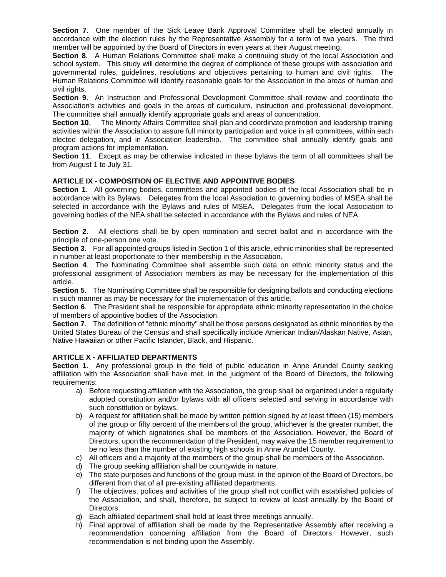**Section 7**. One member of the Sick Leave Bank Approval Committee shall be elected annually in accordance with the election rules by the Representative Assembly for a term of two years. The third member will be appointed by the Board of Directors in even years at their August meeting.

**Section 8**.A Human Relations Committee shall make a continuing study of the local Association and school system. This study will determine the degree of compliance of these groups with association and governmental rules, guidelines, resolutions and objectives pertaining to human and civil rights. The Human Relations Committee will identify reasonable goals for the Association in the areas of human and civil rights.

**Section 9**. An Instruction and Professional Development Committee shall review and coordinate the Association's activities and goals in the areas of curriculum, instruction and professional development. The committee shall annually identify appropriate goals and areas of concentration.

**Section 10**. The Minority Affairs Committee shall plan and coordinate promotion and leadership training activities within the Association to assure full minority participation and voice in all committees, within each elected delegation, and in Association leadership. The committee shall annually identify goals and program actions for implementation.

**Section 11**.Except as may be otherwise indicated in these bylaws the term of all committees shall be from August 1 to July 31.

# **ARTICLE IX - COMPOSITION OF ELECTIVE AND APPOINTIVE BODIES**

**Section 1**. All governing bodies, committees and appointed bodies of the local Association shall be in accordance with its Bylaws. Delegates from the local Association to governing bodies of MSEA shall be selected in accordance with the Bylaws and rules of MSEA. Delegates from the local Association to governing bodies of the NEA shall be selected in accordance with the Bylaws and rules of NEA.

**Section 2**. All elections shall be by open nomination and secret ballot and in accordance with the principle of one-person one vote.

**Section 3**. For all appointed groups listed in Section 1 of this article, ethnic minorities shall be represented in number at least proportionate to their membership in the Association.

**Section 4**. The Nominating Committee shall assemble such data on ethnic minority status and the professional assignment of Association members as may be necessary for the implementation of this article.

**Section 5**. The Nominating Committee shall be responsible for designing ballots and conducting elections in such manner as may be necessary for the implementation of this article.

**Section 6**.The President shall be responsible for appropriate ethnic minority representation in the choice of members of appointive bodies of the Association.

**Section 7**. The definition of "ethnic minority" shall be those persons designated as ethnic minorities by the United States Bureau of the Census and shall specifically include American Indian/Alaskan Native, Asian, Native Hawaiian or other Pacific Islander, Black, and Hispanic.

# **ARTICLE X - AFFILIATED DEPARTMENTS**

**Section 1**. Any professional group in the field of public education in Anne Arundel County seeking affiliation with the Association shall have met, in the judgment of the Board of Directors, the following requirements:

- a) Before requesting affiliation with the Association, the group shall be organized under a regularly adopted constitution and/or bylaws with all officers selected and serving in accordance with such constitution or bylaws.
- b) A request for affiliation shall be made by written petition signed by at least fifteen (15) members of the group or fifty percent of the members of the group, whichever is the greater number, the majority of which signatories shall be members of the Association. However, the Board of Directors, upon the recommendation of the President, may waive the 15 member requirement to be no less than the number of existing high schools in Anne Arundel County.
- c) All officers and a majority of the members of the group shall be members of the Association.
- d) The group seeking affiliation shall be countywide in nature.
- e) The state purposes and functions of the group must, in the opinion of the Board of Directors, be different from that of all pre-existing affiliated departments.
- f) The objectives, polices and activities of the group shall not conflict with established policies of the Association, and shall, therefore, be subject to review at least annually by the Board of Directors.
- g) Each affiliated department shall hold at least three meetings annually.
- h) Final approval of affiliation shall be made by the Representative Assembly after receiving a recommendation concerning affiliation from the Board of Directors. However, such recommendation is not binding upon the Assembly.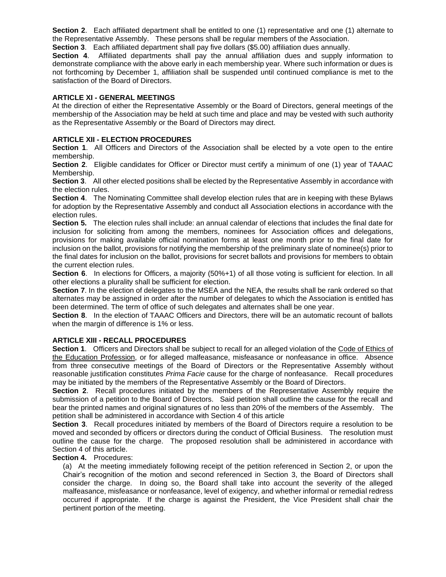**Section 2**. Each affiliated department shall be entitled to one (1) representative and one (1) alternate to the Representative Assembly. These persons shall be regular members of the Association.

**Section 3**. Each affiliated department shall pay five dollars (\$5.00) affiliation dues annually.

**Section 4**.Affiliated departments shall pay the annual affiliation dues and supply information to demonstrate compliance with the above early in each membership year. Where such information or dues is not forthcoming by December 1, affiliation shall be suspended until continued compliance is met to the satisfaction of the Board of Directors.

## **ARTICLE XI - GENERAL MEETINGS**

At the direction of either the Representative Assembly or the Board of Directors, general meetings of the membership of the Association may be held at such time and place and may be vested with such authority as the Representative Assembly or the Board of Directors may direct.

## **ARTICLE XII - ELECTION PROCEDURES**

**Section 1**. All Officers and Directors of the Association shall be elected by a vote open to the entire membership.

**Section 2**. Eligible candidates for Officer or Director must certify a minimum of one (1) year of TAAAC Membership.

**Section 3**. All other elected positions shall be elected by the Representative Assembly in accordance with the election rules.

**Section 4**. The Nominating Committee shall develop election rules that are in keeping with these Bylaws for adoption by the Representative Assembly and conduct all Association elections in accordance with the election rules.

**Section 5.** The election rules shall include: an annual calendar of elections that includes the final date for inclusion for soliciting from among the members, nominees for Association offices and delegations, provisions for making available official nomination forms at least one month prior to the final date for inclusion on the ballot, provisions for notifying the membership of the preliminary slate of nominee(s) prior to the final dates for inclusion on the ballot, provisions for secret ballots and provisions for members to obtain the current election rules.

**Section 6.** In elections for Officers, a majority (50%+1) of all those voting is sufficient for election. In all other elections a plurality shall be sufficient for election.

**Section 7.** In the election of delegates to the MSEA and the NEA, the results shall be rank ordered so that alternates may be assigned in order after the number of delegates to which the Association is entitled has been determined. The term of office of such delegates and alternates shall be one year.

**Section 8**. In the election of TAAAC Officers and Directors, there will be an automatic recount of ballots when the margin of difference is 1% or less.

#### **ARTICLE XIII - RECALL PROCEDURES**

**Section 1.** Officers and Directors shall be subject to recall for an alleged violation of the Code of Ethics of the Education Profession, or for alleged malfeasance, misfeasance or nonfeasance in office. Absence from three consecutive meetings of the Board of Directors or the Representative Assembly without reasonable justification constitutes *Prima Facie* cause for the charge of nonfeasance. Recall procedures may be initiated by the members of the Representative Assembly or the Board of Directors.

**Section 2**. Recall procedures initiated by the members of the Representative Assembly require the submission of a petition to the Board of Directors. Said petition shall outline the cause for the recall and bear the printed names and original signatures of no less than 20% of the members of the Assembly. The petition shall be administered in accordance with Section 4 of this article

**Section 3**. Recall procedures initiated by members of the Board of Directors require a resolution to be moved and seconded by officers or directors during the conduct of Official Business. The resolution must outline the cause for the charge. The proposed resolution shall be administered in accordance with Section 4 of this article.

## **Section 4.** Procedures:

(a) At the meeting immediately following receipt of the petition referenced in Section 2, or upon the Chair's recognition of the motion and second referenced in Section 3, the Board of Directors shall consider the charge. In doing so, the Board shall take into account the severity of the alleged malfeasance, misfeasance or nonfeasance, level of exigency, and whether informal or remedial redress occurred if appropriate. If the charge is against the President, the Vice President shall chair the pertinent portion of the meeting.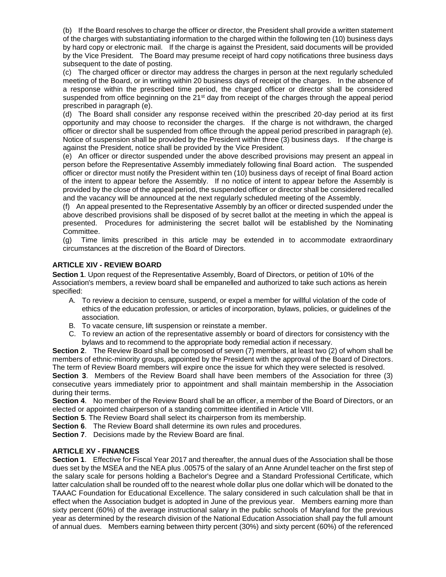(b) If the Board resolves to charge the officer or director, the President shall provide a written statement of the charges with substantiating information to the charged within the following ten (10) business days by hard copy or electronic mail. If the charge is against the President, said documents will be provided by the Vice President. The Board may presume receipt of hard copy notifications three business days subsequent to the date of posting.

(c) The charged officer or director may address the charges in person at the next regularly scheduled meeting of the Board, or in writing within 20 business days of receipt of the charges. In the absence of a response within the prescribed time period, the charged officer or director shall be considered suspended from office beginning on the 21<sup>st</sup> day from receipt of the charges through the appeal period prescribed in paragraph (e).

(d) The Board shall consider any response received within the prescribed 20-day period at its first opportunity and may choose to reconsider the charges. If the charge is not withdrawn, the charged officer or director shall be suspended from office through the appeal period prescribed in paragraph (e). Notice of suspension shall be provided by the President within three (3) business days. If the charge is against the President, notice shall be provided by the Vice President.

(e) An officer or director suspended under the above described provisions may present an appeal in person before the Representative Assembly immediately following final Board action. The suspended officer or director must notify the President within ten (10) business days of receipt of final Board action of the intent to appear before the Assembly. If no notice of intent to appear before the Assembly is provided by the close of the appeal period, the suspended officer or director shall be considered recalled and the vacancy will be announced at the next regularly scheduled meeting of the Assembly.

(f) An appeal presented to the Representative Assembly by an officer or directed suspended under the above described provisions shall be disposed of by secret ballot at the meeting in which the appeal is presented. Procedures for administering the secret ballot will be established by the Nominating Committee.

(g) Time limits prescribed in this article may be extended in to accommodate extraordinary circumstances at the discretion of the Board of Directors.

# **ARTICLE XIV - REVIEW BOARD**

**Section 1**. Upon request of the Representative Assembly, Board of Directors, or petition of 10% of the Association's members, a review board shall be empanelled and authorized to take such actions as herein specified:

- A. To review a decision to censure, suspend, or expel a member for willful violation of the code of ethics of the education profession, or articles of incorporation, bylaws, policies, or guidelines of the association.
- B. To vacate censure, lift suspension or reinstate a member.
- C. To review an action of the representative assembly or board of directors for consistency with the bylaws and to recommend to the appropriate body remedial action if necessary.

**Section 2**. The Review Board shall be composed of seven (7) members, at least two (2) of whom shall be members of ethnic-minority groups, appointed by the President with the approval of the Board of Directors. The term of Review Board members will expire once the issue for which they were selected is resolved.

**Section 3**. Members of the Review Board shall have been members of the Association for three (3) consecutive years immediately prior to appointment and shall maintain membership in the Association during their terms.

**Section 4**. No member of the Review Board shall be an officer, a member of the Board of Directors, or an elected or appointed chairperson of a standing committee identified in Article VIII.

**Section 5**. The Review Board shall select its chairperson from its membership.

**Section 6.** The Review Board shall determine its own rules and procedures.

**Section 7**. Decisions made by the Review Board are final.

# **ARTICLE XV - FINANCES**

**Section 1**. Effective for Fiscal Year 2017 and thereafter, the annual dues of the Association shall be those dues set by the MSEA and the NEA plus .00575 of the salary of an Anne Arundel teacher on the first step of the salary scale for persons holding a Bachelor's Degree and a Standard Professional Certificate, which latter calculation shall be rounded off to the nearest whole dollar plus one dollar which will be donated to the TAAAC Foundation for Educational Excellence. The salary considered in such calculation shall be that in effect when the Association budget is adopted in June of the previous year. Members earning more than sixty percent (60%) of the average instructional salary in the public schools of Maryland for the previous year as determined by the research division of the National Education Association shall pay the full amount of annual dues. Members earning between thirty percent (30%) and sixty percent (60%) of the referenced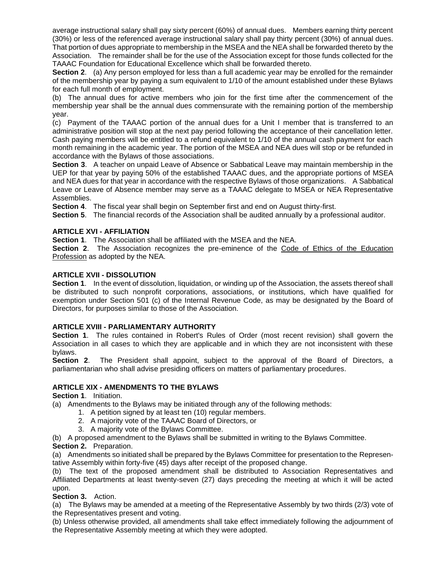average instructional salary shall pay sixty percent (60%) of annual dues. Members earning thirty percent (30%) or less of the referenced average instructional salary shall pay thirty percent (30%) of annual dues. That portion of dues appropriate to membership in the MSEA and the NEA shall be forwarded thereto by the Association. The remainder shall be for the use of the Association except for those funds collected for the TAAAC Foundation for Educational Excellence which shall be forwarded thereto.

**Section 2**. (a) Any person employed for less than a full academic year may be enrolled for the remainder of the membership year by paying a sum equivalent to 1/10 of the amount established under these Bylaws for each full month of employment.

(b) The annual dues for active members who join for the first time after the commencement of the membership year shall be the annual dues commensurate with the remaining portion of the membership year.

(c) Payment of the TAAAC portion of the annual dues for a Unit I member that is transferred to an administrative position will stop at the next pay period following the acceptance of their cancellation letter. Cash paying members will be entitled to a refund equivalent to 1/10 of the annual cash payment for each month remaining in the academic year. The portion of the MSEA and NEA dues will stop or be refunded in accordance with the Bylaws of those associations.

**Section 3**. A teacher on unpaid Leave of Absence or Sabbatical Leave may maintain membership in the UEP for that year by paying 50% of the established TAAAC dues, and the appropriate portions of MSEA and NEA dues for that year in accordance with the respective Bylaws of those organizations. A Sabbatical Leave or Leave of Absence member may serve as a TAAAC delegate to MSEA or NEA Representative Assemblies.

**Section 4**. The fiscal year shall begin on September first and end on August thirty-first.

**Section 5.** The financial records of the Association shall be audited annually by a professional auditor.

# **ARTICLE XVI - AFFILIATION**

**Section 1**. The Association shall be affiliated with the MSEA and the NEA.

**Section 2.** The Association recognizes the pre-eminence of the Code of Ethics of the Education Profession as adopted by the NEA.

### **ARTICLE XVII - DISSOLUTION**

**Section 1**.In the event of dissolution, liquidation, or winding up of the Association, the assets thereof shall be distributed to such nonprofit corporations, associations, or institutions, which have qualified for exemption under Section 501 (c) of the Internal Revenue Code, as may be designated by the Board of Directors, for purposes similar to those of the Association.

# **ARTICLE XVIII - PARLIAMENTARY AUTHORITY**

**Section 1**. The rules contained in Robert's Rules of Order (most recent revision) shall govern the Association in all cases to which they are applicable and in which they are not inconsistent with these bylaws.

**Section 2**. The President shall appoint, subject to the approval of the Board of Directors, a parliamentarian who shall advise presiding officers on matters of parliamentary procedures.

#### **ARTICLE XIX - AMENDMENTS TO THE BYLAWS**

**Section 1**. Initiation.

(a) Amendments to the Bylaws may be initiated through any of the following methods:

- 1. A petition signed by at least ten (10) regular members.
- 2. A majority vote of the TAAAC Board of Directors, or
- 3. A majority vote of the Bylaws Committee.

(b) A proposed amendment to the Bylaws shall be submitted in writing to the Bylaws Committee. **Section 2.** Preparation.

(a) Amendments so initiated shall be prepared by the Bylaws Committee for presentation to the Representative Assembly within forty-five (45) days after receipt of the proposed change.

(b) The text of the proposed amendment shall be distributed to Association Representatives and Affiliated Departments at least twenty-seven (27) days preceding the meeting at which it will be acted upon.

**Section 3.** Action.

(a) The Bylaws may be amended at a meeting of the Representative Assembly by two thirds (2/3) vote of the Representatives present and voting.

(b) Unless otherwise provided, all amendments shall take effect immediately following the adjournment of the Representative Assembly meeting at which they were adopted.